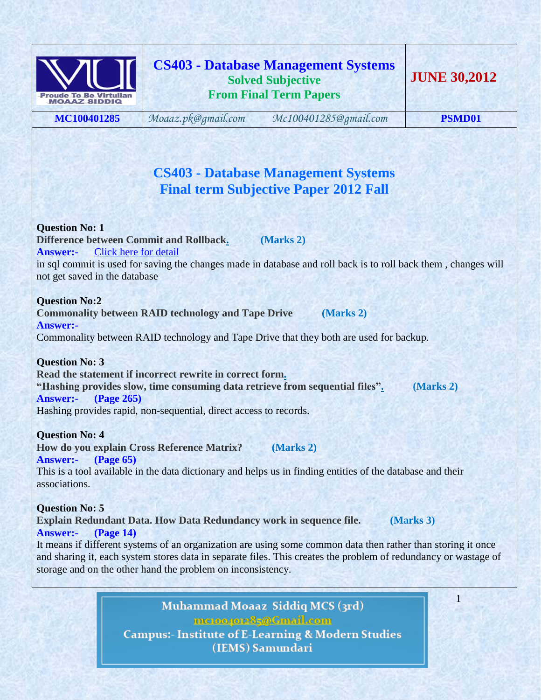

**MC100401285** *[Moaaz.pk@gmail.com](mailto:Moaaz.pk@gmail.com) [Mc100401285@gmail.com](mailto:Mc100401285@gmail.com)* **PSMD01**

# **CS403 - Database Management Systems Final term Subjective Paper 2012 Fall**

**Question No: 1 Difference between Commit and Rollbac[k.](http://www.vuzs.net/) (Marks 2) Answer:-** Click here for [detail](http://wiki.answers.com/Q/Difference_between_roll_back_and_commit_in_sql) in sql commit is used for saving the changes made in database and roll back is to roll back them , changes will not get saved in the database

# **Question No:2**

**Commonality between RAID technology and Tape Drive (Marks 2) Answer:-**  Commonality between RAID technology and Tape Drive that they both are used for backup.

**Question No: 3 Read the statement if incorrect rewrite in correct for[m.](http://www.vuzs.net/) "Hashing provides slow, time consuming data retrieve from sequential files[".](http://www.vuzs.net/) (Marks 2) Answer:- (Page 265)** Hashing provides rapid, non-sequential, direct access to records.

### **Question No: 4**

**How do you explain Cross Reference Matrix? (Marks 2) Answer:- (Page 65)**

This is a tool available in the data dictionary and helps us in finding entities of the database and their associations.

**Question No: 5 Explain Redundant Data. How Data Redundancy work in sequence file. (Marks 3) Answer:- (Page 14)**

It means if different systems of an organization are using some common data then rather than storing it once and sharing it, each system stores data in separate files. This creates the problem of redundancy or wastage of storage and on the other hand the problem on inconsistency.

> Muhammad Moaaz Siddiq MCS (3rd) mctoo4ot285@Gmail.com **Campus:- Institute of E-Learning & Modern Studies** (IEMS) Samundari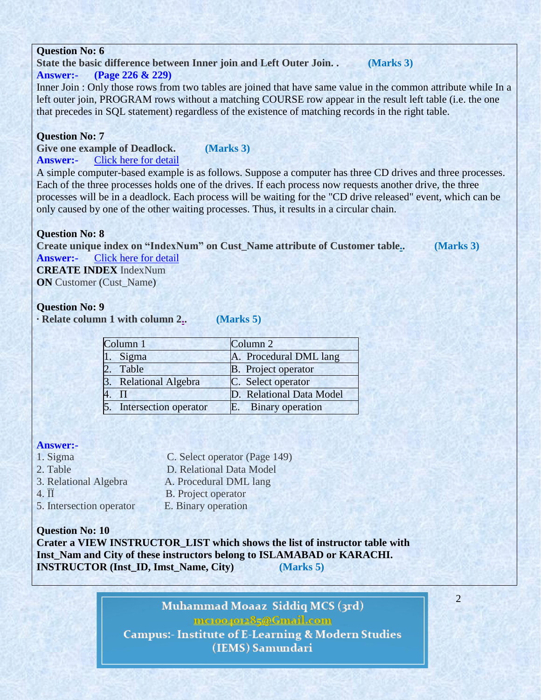**State the basic difference between Inner join and Left Outer Join. . (Marks 3)**

### **Answer:- (Page 226 & 229)**

Inner Join : Only those rows from two tables are joined that have same value in the common attribute while In a left outer join, PROGRAM rows without a matching COURSE row appear in the result left table (i.e. the one that precedes in SQL statement) regardless of the existence of matching records in the right table.

# **Question No: 7**

**Give one example of Deadlock. (Marks 3) Answer:-** Click here for [detail](http://en.wikipedia.org/wiki/Deadlock)

A simple computer-based example is as follows. Suppose a computer has three CD drives and three processes. Each of the three processes holds one of the drives. If each process now requests another drive, the three processes will be in a deadlock. Each process will be waiting for the "CD drive released" event, which can be only caused by one of the other waiting processes. Thus, it results in a circular chain.

# **Question No: 8**

**Create unique index on "IndexNum" on Cust\_Name attribute of Customer tabl[e..](http://www.vuzs.net/) (Marks 3) Answer:-** Click here for [detail](http://www.w3schools.com/sql/sql_create_index.asp)

2

**CREATE INDEX** IndexNum **ON** Customer (Cust Name)

# **Question No: 9**

**· Relate column 1 with column [2..](http://www.vuzs.net/) (Marks 5)**

| Column <sub>1</sub> |                          | Column <sub>2</sub>        |
|---------------------|--------------------------|----------------------------|
|                     | 1. Sigma                 | A. Procedural DML lang     |
|                     | 2. Table                 | <b>B.</b> Project operator |
|                     | 3. Relational Algebra    | C. Select operator         |
|                     | 4. $\Pi$                 | D. Relational Data Model   |
|                     | 5. Intersection operator | E. Binary operation        |

# **Answer:-**

- 1. Sigma C. Select operator (Page 149)
- 2. Table D. Relational Data Model
- 3. Relational Algebra A. Procedural DML lang
- 
- 4. ÏÏ B. Project operator
- 5. Intersection operator E. Binary operation
- 

**Question No: 10 Crater a VIEW INSTRUCTOR\_LIST which shows the list of instructor table with Inst\_Nam and City of these instructors belong to ISLAMABAD or KARACHI. INSTRUCTOR (Inst\_ID, Imst\_Name, City) (Marks 5)**

> Muhammad Moaaz Siddiq MCS (3rd) mctoo4ot285@Gmail.com **Campus:- Institute of E-Learning & Modern Studies** (IEMS) Samundari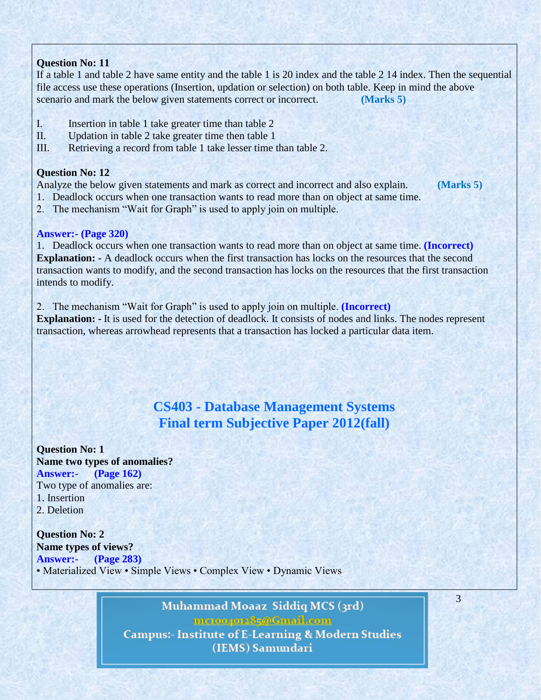If a table 1 and table 2 have same entity and the table 1 is 20 index and the table 2 14 index. Then the sequential file access use these operations (Insertion, updation or selection) on both table. Keep in mind the above scenario and mark the below given statements correct or incorrect. **(Marks 5)**

- I. Insertion in table 1 take greater time than table 2
- II. Updation in table 2 take greater time then table 1
- III. Retrieving a record from table 1 take lesser time than table 2.

# **Question No: 12**

Analyze the below given statements and mark as correct and incorrect and also explain. **(Marks 5)**

1. Deadlock occurs when one transaction wants to read more than on object at same time.

3

2. The mechanism "Wait for Graph" is used to apply join on multiple.

# **Answer:- (Page 320)**

1. Deadlock occurs when one transaction wants to read more than on object at same time. **(Incorrect) Explanation:** - A deadlock occurs when the first transaction has locks on the resources that the second transaction wants to modify, and the second transaction has locks on the resources that the first transaction intends to modify.

2. The mechanism "Wait for Graph" is used to apply join on multiple. **(Incorrect) Explanation: -** It is used for the detection of deadlock. It consists of nodes and links. The nodes represent transaction, whereas arrowhead represents that a transaction has locked a particular data item.

# **CS403 - Database Management Systems Final term Subjective Paper 2012(fall)**

**Question No: 1 Name two types of anomalies? Answer:- (Page 162)** Two type of anomalies are: 1. Insertion 2. Deletion

**Question No: 2 Name types of views? Answer:- (Page 283)** • Materialized View • Simple Views • Complex View • Dynamic Views

> Muhammad Moaaz Siddiq MCS (3rd) mctoo4ot285@Gmail.com **Campus:- Institute of E-Learning & Modern Studies** (IEMS) Samundari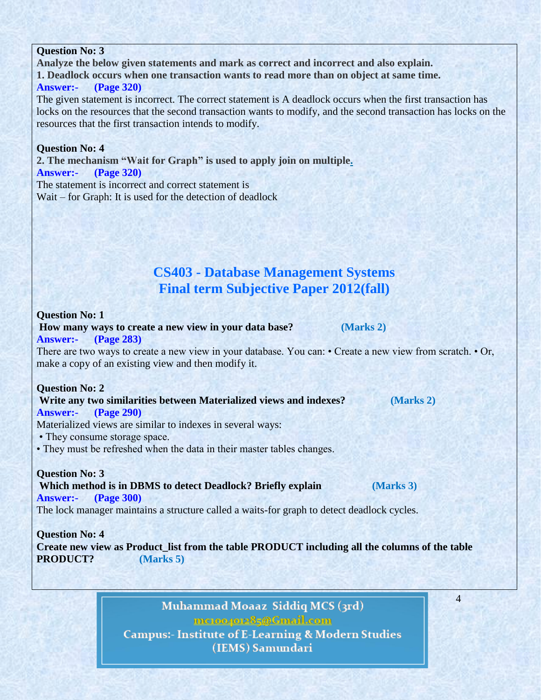**Analyze the below given statements and mark as correct and incorrect and also explain. 1. Deadlock occurs when one transaction wants to read more than on object at same time. Answer:- (Page 320)**

The given statement is incorrect. The correct statement is A deadlock occurs when the first transaction has locks on the resources that the second transaction wants to modify, and the second transaction has locks on the resources that the first transaction intends to modify.

### **Question No: 4**

**2. The mechanism "Wait for Graph" is used to apply join on multipl[e.](http://www.vuzs.net/)**

### **Answer:- (Page 320)**

The statement is incorrect and correct statement is Wait – for Graph: It is used for the detection of deadlock

# **CS403 - Database Management Systems Final term Subjective Paper 2012(fall)**

#### **Question No: 1**

**How many ways to create a new view in your data base? (Marks 2) Answer:- (Page 283)**

There are two ways to create a new view in your database. You can: • Create a new view from scratch. • Or, make a copy of an existing view and then modify it.

#### **Question No: 2**

### **Write any two similarities between Materialized views and indexes? (Marks 2)**

**Answer:- (Page 290)**

Materialized views are similar to indexes in several ways:

- They consume storage space.
- They must be refreshed when the data in their master tables changes.

### **Question No: 3**

**Which method is in DBMS to detect Deadlock? Briefly explain (Marks 3) Answer:- (Page 300)**

The lock manager maintains a structure called a waits-for graph to detect deadlock cycles.

**Question No: 4 Create new view as Product\_list from the table PRODUCT including all the columns of the table PRODUCT? (Marks 5)**

> Muhammad Moaaz Siddiq MCS (3rd) mctoo4ot285@Gmail.com **Campus:- Institute of E-Learning & Modern Studies** (IEMS) Samundari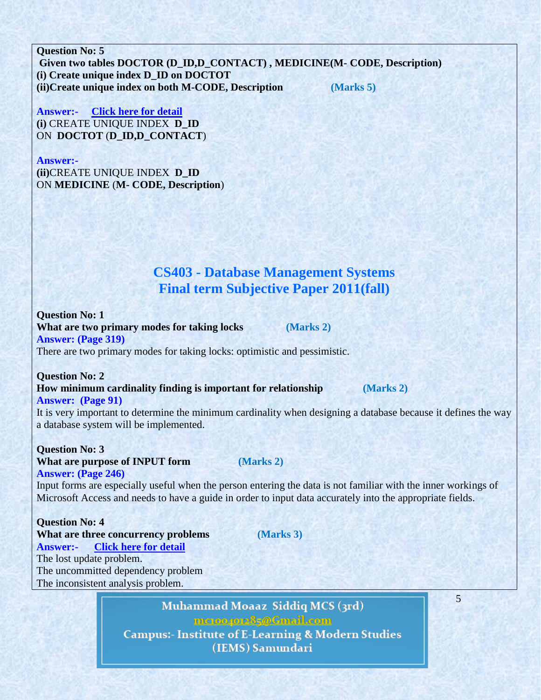**Question No: 5 Given two tables DOCTOR (D\_ID,D\_CONTACT) , MEDICINE(M- CODE, Description) (i) Create unique index D\_ID on DOCTOT (ii)Create unique index on both M-CODE, Description (Marks 5)**

**Answer:- [Click here for detail](http://www.w3schools.com/sql/sql_create_index.asp) (i)** CREATE UNIQUE INDEX **D\_ID** ON **DOCTOT** (**D\_ID,D\_CONTACT**)

**Answer:-**

**(ii)**CREATE UNIQUE INDEX **D\_ID** ON **MEDICINE** (**M- CODE, Description**)

# **CS403 - Database Management Systems Final term Subjective Paper 2011(fall)**

**Question No: 1 What are two primary modes for taking locks (Marks 2) Answer: (Page 319)** There are two primary modes for taking locks: optimistic and pessimistic.

**Question No: 2**

#### **How minimum cardinality finding is important for relationship (Marks 2) Answer: (Page 91)**

5

It is very important to determine the minimum cardinality when designing a database because it defines the way a database system will be implemented.

**Question No: 3 What are purpose of INPUT form (Marks 2) Answer: (Page 246)**

Input forms are especially useful when the person entering the data is not familiar with the inner workings of Microsoft Access and needs to have a guide in order to input data accurately into the appropriate fields.

**Question No: 4 What are three concurrency problems (Marks 3) Answer:- [Click](http://www.techhairball.com/tutorials/databases-tutorials/sql/5304-three-concurrency-problems) here for detail** The lost update problem. The uncommitted dependency problem The inconsistent analysis problem.

> Muhammad Moaaz Siddiq MCS (3rd) meton40085@Cmail.com **Campus:- Institute of E-Learning & Modern Studies** (IEMS) Samundari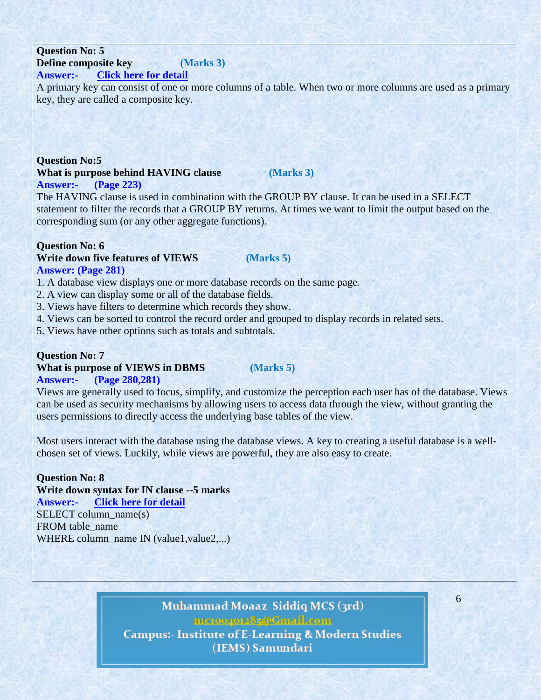# **Question No: 5 Define composite key (Marks 3)**

### **Answer:- [Click](http://fuchangmiao.blogspot.com/2008/08/composite-primary-keys.html) here for detail**

A primary key can consist of one or more columns of a table. When two or more columns are used as a primary key, they are called a composite key.

### **Question No:5 What is purpose behind HAVING clause (Marks 3) Answer:- (Page 223)**

The HAVING clause is used in combination with the GROUP BY clause. It can be used in a SELECT statement to filter the records that a GROUP BY returns. At times we want to limit the output based on the corresponding sum (or any other aggregate functions).

# **Question No: 6**

## **Write down five features of VIEWS (Marks 5) Answer: (Page 281)**

1. A database view displays one or more database records on the same page.

- 2. A view can display some or all of the database fields.
- 3. Views have filters to determine which records they show.
- 4. Views can be sorted to control the record order and grouped to display records in related sets.
- 5. Views have other options such as totals and subtotals.

## **Question No: 7**

# **What is purpose of VIEWS in DBMS (Marks 5)**

# **Answer:- (Page 280,281)**

Views are generally used to focus, simplify, and customize the perception each user has of the database. Views can be used as security mechanisms by allowing users to access data through the view, without granting the users permissions to directly access the underlying base tables of the view.

Most users interact with the database using the database views. A key to creating a useful database is a wellchosen set of views. Luckily, while views are powerful, they are also easy to create.

# **Question No: 8**

**Write down syntax for IN clause --5 marks Answer:- [Click](http://www.w3schools.com/sql/sql_in.asp) here for detail** SELECT column name(s) FROM table\_name

WHERE column\_name IN (value1, value2,...)

# Muhammad Moaaz Siddiq MCS (3rd) mctoo4ot285@Gmail.com **Campus:- Institute of E-Learning & Modern Studies**

(IEMS) Samundari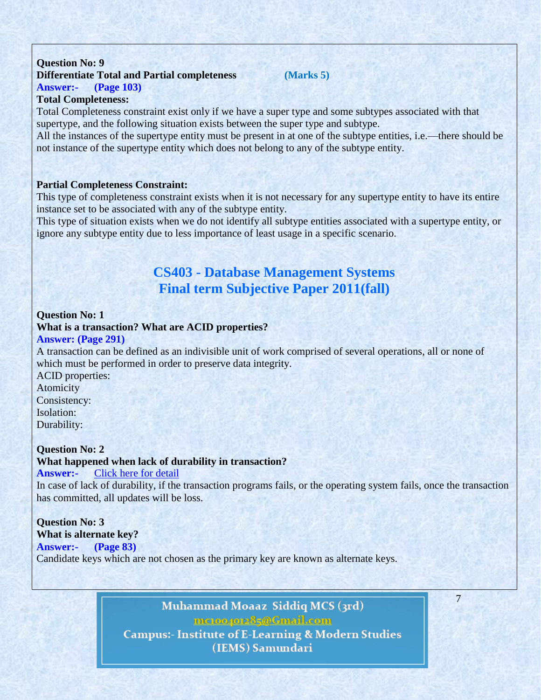# **Question No: 9 Differentiate Total and Partial completeness (Marks 5) Answer:- (Page 103)**

# **Total Completeness:**

Total Completeness constraint exist only if we have a super type and some subtypes associated with that supertype, and the following situation exists between the super type and subtype.

All the instances of the supertype entity must be present in at one of the subtype entities, i.e.—there should be not instance of the supertype entity which does not belong to any of the subtype entity.

### **Partial Completeness Constraint:**

This type of completeness constraint exists when it is not necessary for any supertype entity to have its entire instance set to be associated with any of the subtype entity.

This type of situation exists when we do not identify all subtype entities associated with a supertype entity, or ignore any subtype entity due to less importance of least usage in a specific scenario.

# **CS403 - Database Management Systems Final term Subjective Paper 2011(fall)**

### **Question No: 1**

**What is a transaction? What are ACID properties? Answer: (Page 291)**

A transaction can be defined as an indivisible unit of work comprised of several operations, all or none of which must be performed in order to preserve data integrity.

ACID properties: Atomicity Consistency: Isolation: Durability:

### **Question No: 2**

**What happened when lack of durability in transaction?**

### **Answer:-** Click here for [detail](http://searchdatamanagement.techtarget.com/feature/Transaction-processing-system-examples-and-SOA-approaches)

In case of lack of durability, if the transaction programs fails, or the operating system fails, once the transaction has committed, all updates will be loss.

# **Question No: 3**

**What is alternate key? Answer:- (Page 83)**

Candidate keys which are not chosen as the primary key are known as alternate keys.

Muhammad Moaaz Siddiq MCS (3rd) mctoo4ot285@Gmail.com **Campus:- Institute of E-Learning & Modern Studies** (IEMS) Samundari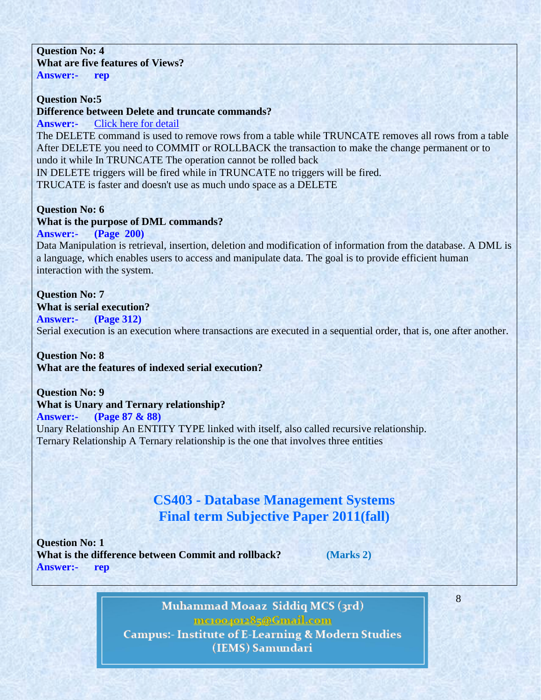### **Question No: 4 What are five features of Views? Answer:- rep**

**Question No:5 Difference between Delete and truncate commands? Answer:-** Click here for [detail](http://www.orafaq.com/faq/difference_between_truncate_delete_and_drop_commands)

The DELETE command is used to remove rows from a table while TRUNCATE removes all rows from a table After DELETE you need to COMMIT or ROLLBACK the transaction to make the change permanent or to undo it while In TRUNCATE The operation cannot be rolled back IN DELETE triggers will be fired while in TRUNCATE no triggers will be fired. TRUCATE is faster and doesn't use as much undo space as a DELETE

### **Question No: 6 What is the purpose of DML commands?**

# **Answer:- (Page 200)**

Data Manipulation is retrieval, insertion, deletion and modification of information from the database. A DML is a language, which enables users to access and manipulate data. The goal is to provide efficient human interaction with the system.

### **Question No: 7 What is serial execution?**

# **Answer:- (Page 312)**

Serial execution is an execution where transactions are executed in a sequential order, that is, one after another.

**Question No: 8 What are the features of indexed serial execution?**

**Question No: 9 What is Unary and Ternary relationship? Answer:- (Page 87 & 88)** Unary Relationship An ENTITY TYPE linked with itself, also called recursive relationship. Ternary Relationship A Ternary relationship is the one that involves three entities

# **CS403 - Database Management Systems Final term Subjective Paper 2011(fall)**

**Question No: 1 What is the difference between Commit and rollback? (Marks 2) Answer:- rep**

Muhammad Moaaz Siddiq MCS (3rd) mctoo4ot285@Gmail.com **Campus:- Institute of E-Learning & Modern Studies** (IEMS) Samundari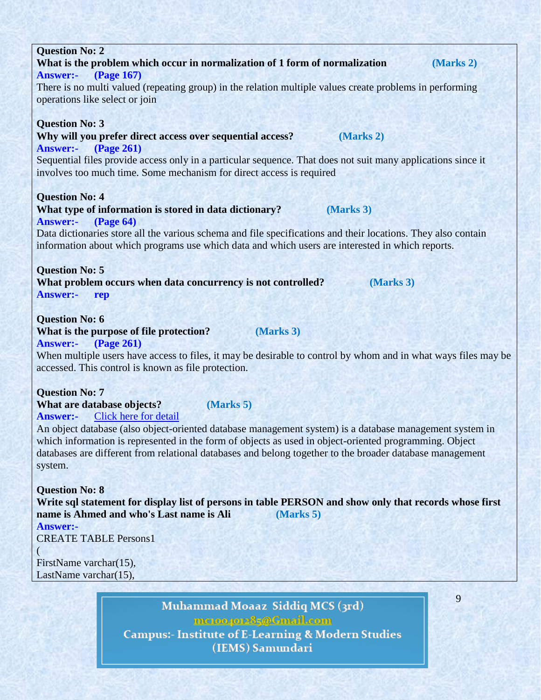| <b>Answer:-</b> (Page 167)                                                                                    |  |  |  |  |
|---------------------------------------------------------------------------------------------------------------|--|--|--|--|
| There is no multi valued (repeating group) in the relation multiple values create problems in performing      |  |  |  |  |
| operations like select or join                                                                                |  |  |  |  |
|                                                                                                               |  |  |  |  |
| <b>Question No: 3</b>                                                                                         |  |  |  |  |
| Why will you prefer direct access over sequential access?<br>(Marks 2)                                        |  |  |  |  |
| <b>(Page 261)</b><br><b>Answer:-</b>                                                                          |  |  |  |  |
| Sequential files provide access only in a particular sequence. That does not suit many applications since it  |  |  |  |  |
| involves too much time. Some mechanism for direct access is required                                          |  |  |  |  |
|                                                                                                               |  |  |  |  |
| <b>Question No: 4</b>                                                                                         |  |  |  |  |
| What type of information is stored in data dictionary?<br>(Marks 3)                                           |  |  |  |  |
| <b>(Page 64)</b><br><b>Answer:-</b>                                                                           |  |  |  |  |
| Data dictionaries store all the various schema and file specifications and their locations. They also contain |  |  |  |  |
| information about which programs use which data and which users are interested in which reports.              |  |  |  |  |
|                                                                                                               |  |  |  |  |
| <b>Question No: 5</b>                                                                                         |  |  |  |  |
| What problem occurs when data concurrency is not controlled?<br>(Marks 3)                                     |  |  |  |  |
| <b>Answer:-</b><br>rep                                                                                        |  |  |  |  |
|                                                                                                               |  |  |  |  |
| <b>Question No: 6</b>                                                                                         |  |  |  |  |
| $\sim$ $\sim$ $\sim$ $\sim$                                                                                   |  |  |  |  |

**What is the problem which occur in normalization of 1 form of normalization (Marks 2)**

**What is the purpose of file protection? (Marks 3) Answer:- (Page 261)**

**Question No: 2**

When multiple users have access to files, it may be desirable to control by whom and in what ways files may be accessed. This control is known as file protection.

**Question No: 7 What are database objects? (Marks 5) Answer:-** Click here for [detail](http://en.wikipedia.org/wiki/Object_database)

An object database (also object-oriented database management system) is a database management system in which information is represented in the form of objects as used in object-oriented programming. Object databases are different from relational databases and belong together to the broader database management system.

**Question No: 8 Write sql statement for display list of persons in table PERSON and show only that records whose first name is Ahmed and who's Last name is Ali (Marks 5) Answer:-**  CREATE TABLE Persons1

FirstName varchar(15), LastName varchar(15),

(

Muhammad Moaaz Siddiq MCS (3rd) mctoo4ot285@Gmail.com **Campus:- Institute of E-Learning & Modern Studies** (IEMS) Samundari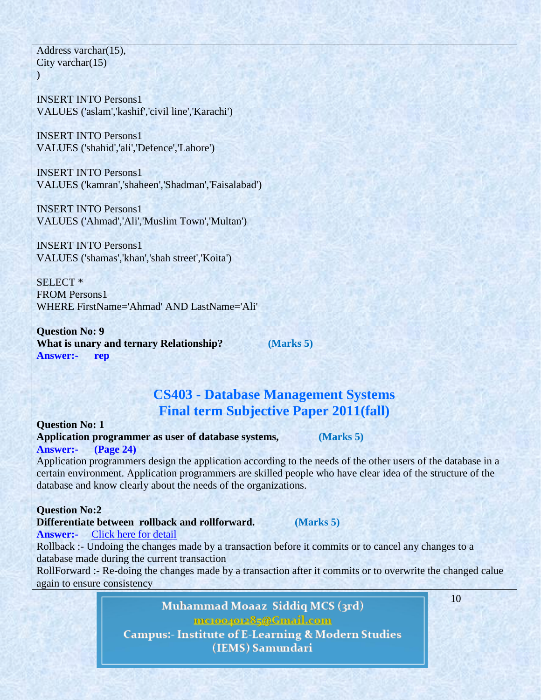Address varchar(15), City varchar $(15)$  $\lambda$ 

INSERT INTO Persons1 VALUES ('aslam','kashif','civil line','Karachi')

INSERT INTO Persons1 VALUES ('shahid','ali','Defence','Lahore')

INSERT INTO Persons1 VALUES ('kamran','shaheen','Shadman','Faisalabad')

INSERT INTO Persons1 VALUES ('Ahmad','Ali','Muslim Town','Multan')

INSERT INTO Persons1 VALUES ('shamas','khan','shah street','Koita')

SELECT \* FROM Persons1 WHERE FirstName='Ahmad' AND LastName='Ali'

**Question No: 9 What is unary and ternary Relationship? (Marks 5) Answer:- rep**

# **CS403 - Database Management Systems Final term Subjective Paper 2011(fall)**

**Question No: 1 Application programmer as user of database systems, (Marks 5) Answer:- (Page 24)**

Application programmers design the application according to the needs of the other users of the database in a certain environment. Application programmers are skilled people who have clear idea of the structure of the database and know clearly about the needs of the organizations.

### **Question No:2**

**Answer:-** Click here for [detail](http://www.slightbook.com/iquestions/showanswers/Define_rollback_and_rollforward.aspx)

**Differentiate between rollback and rollforward. (Marks 5)**

Rollback :- Undoing the changes made by a transaction before it commits or to cancel any changes to a database made during the current transaction

RollForward :- Re-doing the changes made by a transaction after it commits or to overwrite the changed calue again to ensure consistency

> Muhammad Moaaz Siddiq MCS (3rd) mctoo4ot285@Gmail.com **Campus:- Institute of E-Learning & Modern Studies** (IEMS) Samundari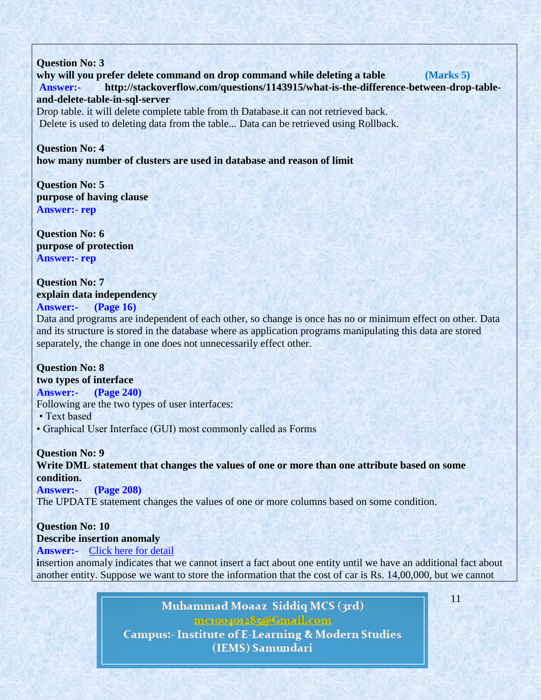**Question No: 3 why will you prefer delete command on drop command while deleting a table (Marks 5) Answer:- http://stackoverflow.com/questions/1143915/what-is-the-difference-between-drop-tableand-delete-table-in-sql-server**

Drop table. it will delete complete table from th Database.it can not retrieved back. Delete is used to deleting data from the table... Data can be retrieved using Rollback.

**Question No: 4 how many number of clusters are used in database and reason of limit**

**Question No: 5 purpose of having clause Answer:- rep**

**Question No: 6 purpose of protection Answer:- rep**

**Question No: 7 explain data independency Answer:- (Page 16)**

Data and programs are independent of each other, so change is once has no or minimum effect on other. Data and its structure is stored in the database where as application programs manipulating this data are stored separately, the change in one does not unnecessarily effect other.

# **Question No: 8**

**two types of interface Answer:- (Page 240)**

Following are the two types of user interfaces:

• Text based

• Graphical User Interface (GUI) most commonly called as Forms

**Question No: 9**

**Write DML statement that changes the values of one or more than one attribute based on some condition.**

**Answer:- (Page 208)**

The UPDATE statement changes the values of one or more columns based on some condition.

# **Question No: 10**

**Describe insertion anomaly**

**Answer:-** Click here for [detail](http://www.blurtit.com/q789431.html)

**i**nsertion anomaly indicates that we cannot insert a fact about one entity until we have an additional fact about another entity. Suppose we want to store the information that the cost of car is Rs. 14,00,000, but we cannot

> Muhammad Moaaz Siddiq MCS (3rd) mctoo4ot285@Gmail.com **Campus:- Institute of E-Learning & Modern Studies** (IEMS) Samundari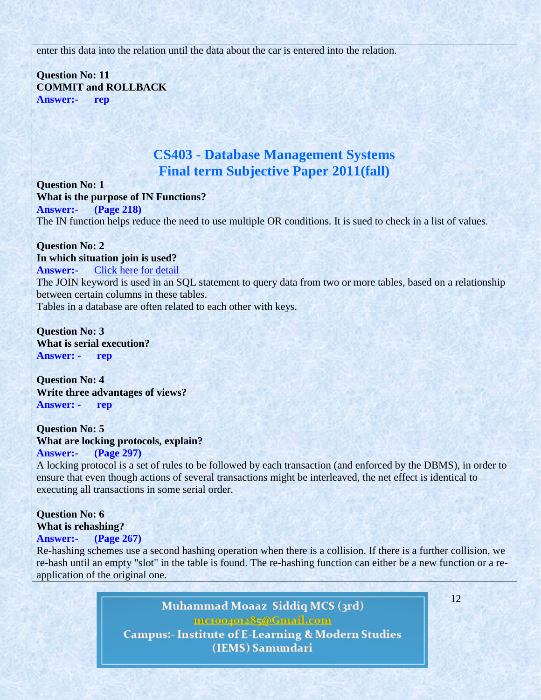enter this data into the relation until the data about the car is entered into the relation.

**Question No: 11 COMMIT and ROLLBACK Answer:- rep**

# **CS403 - Database Management Systems Final term Subjective Paper 2011(fall)**

**Question No: 1 What is the purpose of IN Functions? Answer:- (Page 218)** The IN function helps reduce the need to use multiple OR conditions. It is sued to check in a list of values.

**Question No: 2 In which situation join is used? Answer:-** Click here for [detail](http://www.w3schools.com/sql/sql_join.asp) The JOIN keyword is used in an SQL statement to query data from two or more tables, based on a relationship between certain columns in these tables. Tables in a database are often related to each other with keys.

**Question No: 3 What is serial execution? Answer: - rep**

**Question No: 4 Write three advantages of views? Answer: - rep**

**Question No: 5 What are locking protocols, explain? Answer:- (Page 297)**

A locking protocol is a set of rules to be followed by each transaction (and enforced by the DBMS), in order to ensure that even though actions of several transactions might be interleaved, the net effect is identical to executing all transactions in some serial order.

### **Question No: 6 What is rehashing?**

# **Answer:- (Page 267)**

Re-hashing schemes use a second hashing operation when there is a collision. If there is a further collision, we re-hash until an empty "slot" in the table is found. The re-hashing function can either be a new function or a reapplication of the original one.

> Muhammad Moaaz Siddiq MCS (3rd) mctoo4ot285@Gmail.com **Campus:- Institute of E-Learning & Modern Studies** (IEMS) Samundari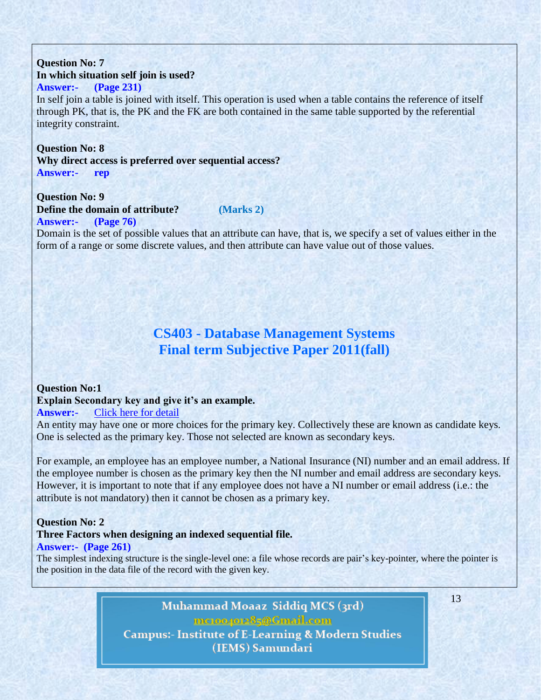### **Question No: 7 In which situation self join is used? Answer:- (Page 231)**

In self join a table is joined with itself. This operation is used when a table contains the reference of itself through PK, that is, the PK and the FK are both contained in the same table supported by the referential integrity constraint.

# **Question No: 8**

**Why direct access is preferred over sequential access? Answer:- rep**

### **Question No: 9 Define the domain of attribute? (Marks 2) Answer:- (Page 76)**

# Domain is the set of possible values that an attribute can have, that is, we specify a set of values either in the form of a range or some discrete values, and then attribute can have value out of those values.

# **CS403 - Database Management Systems Final term Subjective Paper 2011(fall)**

### **Question No:1 Explain Secondary key and give it"s an example. Answer:-** Click here for [detail](http://www.sqa.org.uk/e-learning/MDBS01CD/page_15.htm)

An entity may have one or more choices for the primary key. Collectively these are known as candidate keys. One is selected as the primary key. Those not selected are known as secondary keys.

For example, an employee has an employee number, a National Insurance (NI) number and an email address. If the employee number is chosen as the primary key then the NI number and email address are secondary keys. However, it is important to note that if any employee does not have a NI number or email address (i.e.: the attribute is not mandatory) then it cannot be chosen as a primary key.

### **Question No: 2**

### **Three Factors when designing an indexed sequential file. Answer:- (Page 261)**

The simplest indexing structure is the single-level one: a file whose records are pair's key-pointer, where the pointer is the position in the data file of the record with the given key.

> Muhammad Moaaz Siddiq MCS (3rd) mctoo4ot285@Gmail.com **Campus:- Institute of E-Learning & Modern Studies** (IEMS) Samundari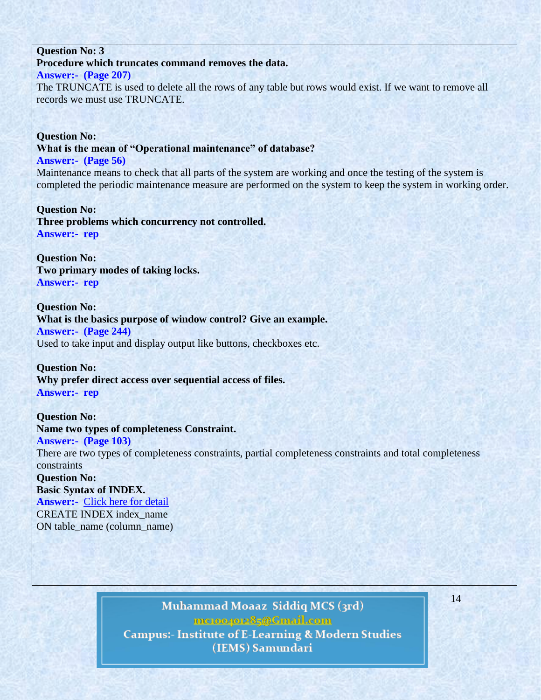### **Question No: 3 Procedure which truncates command removes the data.**

# **Answer:- (Page 207)**

The TRUNCATE is used to delete all the rows of any table but rows would exist. If we want to remove all records we must use TRUNCATE.

**Question No: What is the mean of "Operational maintenance" of database? Answer:- (Page 56)** Maintenance means to check that all parts of the system are working and once the testing of the system is completed the periodic maintenance measure are performed on the system to keep the system in working order.

**Question No: Three problems which concurrency not controlled. Answer:- rep**

**Question No: Two primary modes of taking locks. Answer:- rep**

**Question No: What is the basics purpose of window control? Give an example. Answer:- (Page 244)** Used to take input and display output like buttons, checkboxes etc.

**Question No: Why prefer direct access over sequential access of files. Answer:- rep**

**Question No: Name two types of completeness Constraint. Answer:- (Page 103)**

There are two types of completeness constraints, partial completeness constraints and total completeness constraints

**Question No: Basic Syntax of INDEX. Answer:-** Click here for [detail](http://www.w3schools.com/sql/sql_create_index.asp) CREATE INDEX index\_name ON table\_name (column\_name)

> Muhammad Moaaz Siddiq MCS (3rd) mctoo4ot285@Gmail.com **Campus:- Institute of E-Learning & Modern Studies** (IEMS) Samundari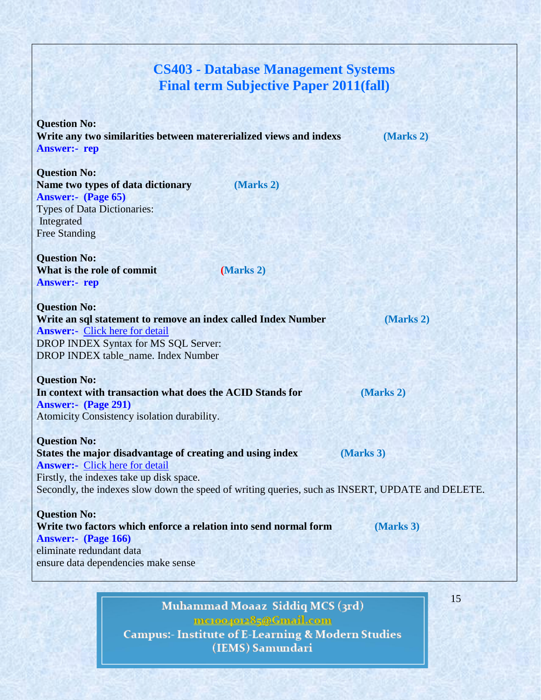# **CS403 - Database Management Systems Final term Subjective Paper 2011(fall)**

**Question No: Write any two similarities between matererialized views and indexs (Marks 2) Answer:- rep**

**Question No: Name two types of data dictionary (Marks 2) Answer:- (Page 65)** Types of Data Dictionaries: Integrated Free Standing

**Question No: What is the role of commit (Marks 2) Answer:- rep**

**Question No: Write an sql statement to remove an index called Index Number (Marks 2) Answer:-** Click here for [detail](http://www.w3schools.com/sql/sql_drop.asp) DROP INDEX Syntax for MS SQL Server: DROP INDEX table\_name. Index Number

**Question No: In context with transaction what does the ACID Stands for (Marks 2) Answer:- (Page 291)** Atomicity Consistency isolation durability.

**Question No: States the major disadvantage of creating and using index (Marks 3) Answer:-** Click here for [detail](http://www.mysqlfaqs.net/mysql-faqs/Indexes/What-are-advantages-and-disadvantages-of-indexes-in-MySQL) Firstly, the indexes take up disk space. Secondly, the indexes slow down the speed of writing queries, such as INSERT, UPDATE and DELETE.

**Question No: Write two factors which enforce a relation into send normal form (Marks 3) Answer:- (Page 166)** eliminate redundant data ensure data dependencies make sense

> Muhammad Moaaz Siddiq MCS (3rd) mc.compress@Gmail.com **Campus:- Institute of E-Learning & Modern Studies** (IEMS) Samundari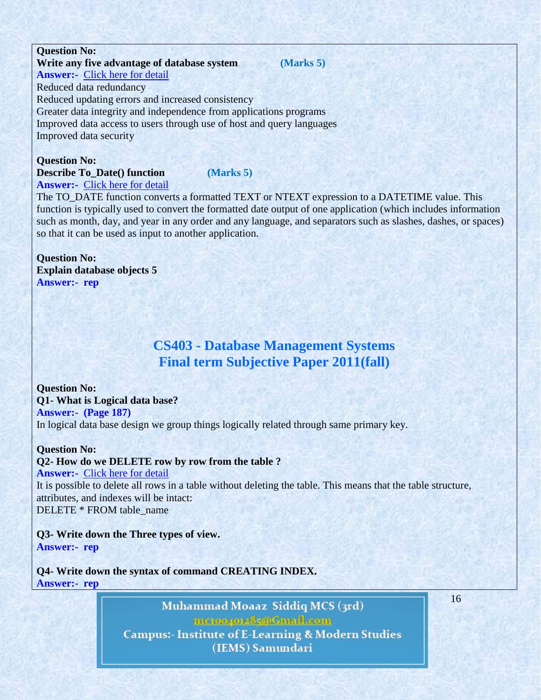#### **Write any five advantage of database system (Marks 5) Answer:-** Click here for [detail](http://www.cl500.net/pros_cons.html)

Reduced data redundancy Reduced updating errors and increased consistency Greater data integrity and independence from applications programs Improved data access to users through use of host and query languages Improved data security

**Question No: Describe To\_Date() function (Marks 5) Answer:-** Click here for [detail](http://docs.oracle.com/cd/B14117_01/olap.101/b10339/x_stddev020.htm)

The TO\_DATE function converts a formatted TEXT or NTEXT expression to a DATETIME value. This function is typically used to convert the formatted date output of one application (which includes information such as month, day, and year in any order and any language, and separators such as slashes, dashes, or spaces) so that it can be used as input to another application.

**Question No: Explain database objects 5 Answer:- rep**

# **CS403 - Database Management Systems Final term Subjective Paper 2011(fall)**

**Question No: Q1- What is Logical data base? Answer:- (Page 187)** In logical data base design we group things logically related through same primary key.

**Question No:**

### **Q2- How do we DELETE row by row from the table ?**

**Answer:-** Click here for [detail](http://www.w3schools.com/sql/sql_delete.asp)

It is possible to delete all rows in a table without deleting the table. This means that the table structure, attributes, and indexes will be intact: DELETE \* FROM table\_name

**Q3- Write down the Three types of view. Answer:- rep**

**Q4- Write down the syntax of command CREATING INDEX. Answer:- rep**

> Muhammad Moaaz Siddiq MCS (3rd) mctoo4ot285@Gmail.com **Campus:- Institute of E-Learning & Modern Studies** (IEMS) Samundari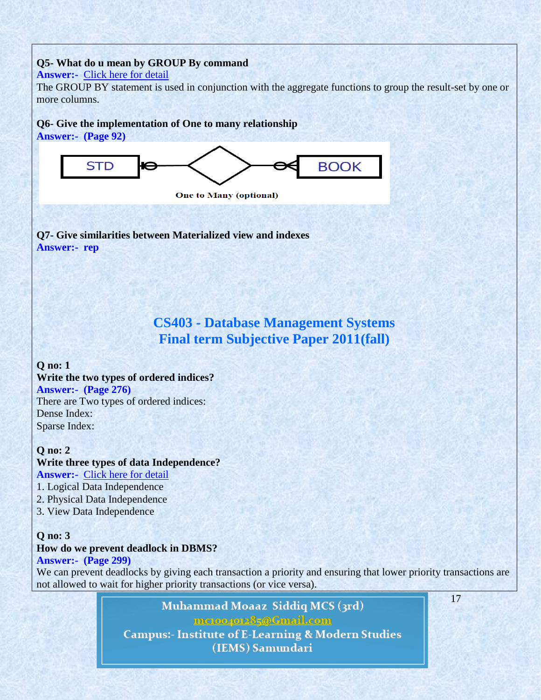## **Q5- What do u mean by GROUP By command**

### **Answer:-** Click here for [detail](http://www.w3schools.com/sql/sql_groupby.asp)

The GROUP BY statement is used in conjunction with the aggregate functions to group the result-set by one or more columns.

# **Q6- Give the implementation of One to many relationship**

**Answer:- (Page 92)**



**One to Many (optional)** 

**Q7- Give similarities between Materialized view and indexes Answer:- rep**

# **CS403 - Database Management Systems Final term Subjective Paper 2011(fall)**

# **Q no: 1 Write the two types of ordered indices? Answer:- (Page 276)** There are Two types of ordered indices: Dense Index: Sparse Index:

### **Q no: 2 Write three types of data Independence? Answer:-** Click here for [detail](http://wiki.answers.com/Q/How_it_is_related_to_data_independence)

- 1. Logical Data Independence
- 2. Physical Data Independence
- 3. View Data Independence

## **Q no: 3 How do we prevent deadlock in DBMS? Answer:- (Page 299)**

# We can prevent deadlocks by giving each transaction a priority and ensuring that lower priority transactions are not allowed to wait for higher priority transactions (or vice versa).

Muhammad Moaaz Siddiq MCS (3rd) mctoo4ot285@Gmail.com **Campus:- Institute of E-Learning & Modern Studies** (IEMS) Samundari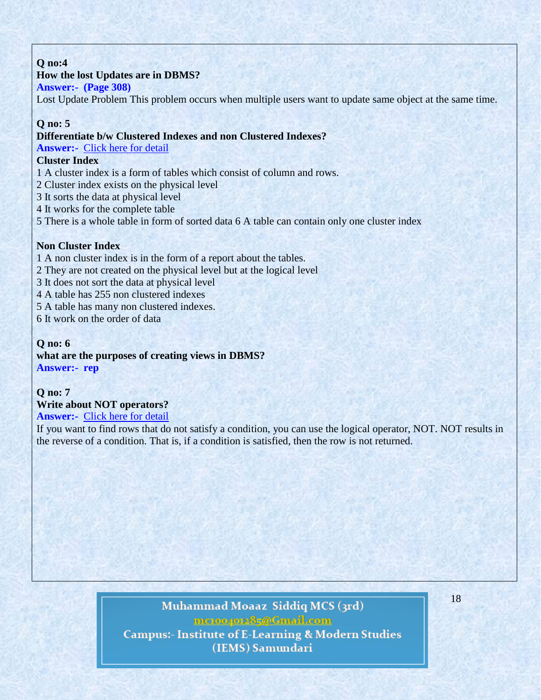# **Q no:4**

# **How the lost Updates are in DBMS?**

## **Answer:- (Page 308)**

Lost Update Problem This problem occurs when multiple users want to update same object at the same time.

## **Q no: 5**

### **Differentiate b/w Clustered Indexes and non Clustered Indexes?**

**Answer:-** Click here for [detail](http://stackoverflow.com/questions/2373906/difference-between-cluster-and-non-cluster-index-in-sql)

# **Cluster Index**

- 1 A cluster index is a form of tables which consist of column and rows.
- 2 Cluster index exists on the physical level
- 3 It sorts the data at physical level
- 4 It works for the complete table
- 5 There is a whole table in form of sorted data 6 A table can contain only one cluster index

### **Non Cluster Index**

- 1 A non cluster index is in the form of a report about the tables.
- 2 They are not created on the physical level but at the logical level
- 3 It does not sort the data at physical level
- 4 A table has 255 non clustered indexes
- 5 A table has many non clustered indexes.
- 6 It work on the order of data

# **Q no: 6 what are the purposes of creating views in DBMS? Answer:- rep**

# **Q no: 7**

# **Write about NOT operators?**

### **Answer:-** Click here for [detail](http://beginner-sql-tutorial.com/sql-logical-operators.htm)

If you want to find rows that do not satisfy a condition, you can use the logical operator, NOT. NOT results in the reverse of a condition. That is, if a condition is satisfied, then the row is not returned.

# Muhammad Moaaz Siddiq MCS (3rd) mctoo4ot285@Gmail.com **Campus:- Institute of E-Learning & Modern Studies** (IEMS) Samundari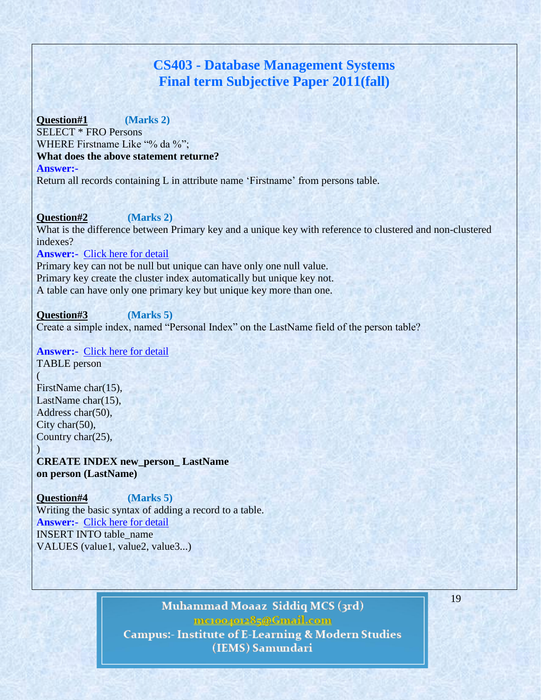# **CS403 - Database Management Systems Final term Subjective Paper 2011(fall)**

**Question#1 (Marks 2)** SELECT \* FRO Persons WHERE Firstname Like "% da %"; **What does the above statement returne? Answer:-** 

Return all records containing L in attribute name 'Firstname' from persons table.

**Question#2 (Marks 2)** What is the difference between Primary key and a unique key with reference to clustered and non-clustered indexes?

### **Answer:-** Click here for [detail](http://stackoverflow.com/questions/1308593/what-is-the-difference-between-a-primary-key-and-a-unique-constraint)

Primary key can not be null but unique can have only one null value. Primary key create the cluster index automatically but unique key not. A table can have only one primary key but unique key more than one.

**Question#3 (Marks 5)** Create a simple index, named "Personal Index" on the LastName field of the person table?

### **Answer:-** Click here for [detail](http://www.1keydata.com/sql/sql-create-index.html)

TABLE person (

)

FirstName char(15), LastName char(15). Address char(50), City char(50), Country char(25),

**CREATE INDEX new\_person\_ LastName on person (LastName)**

**Question#4 (Marks 5)** Writing the basic syntax of adding a record to a table. **Answer:-** Click here for [detail](http://www.w3schools.com/sql/sql_insert.asp) INSERT INTO table\_name VALUES (value1, value2, value3...)

> Muhammad Moaaz Siddiq MCS (3rd) mc.compress@Gmail.com **Campus:- Institute of E-Learning & Modern Studies** (IEMS) Samundari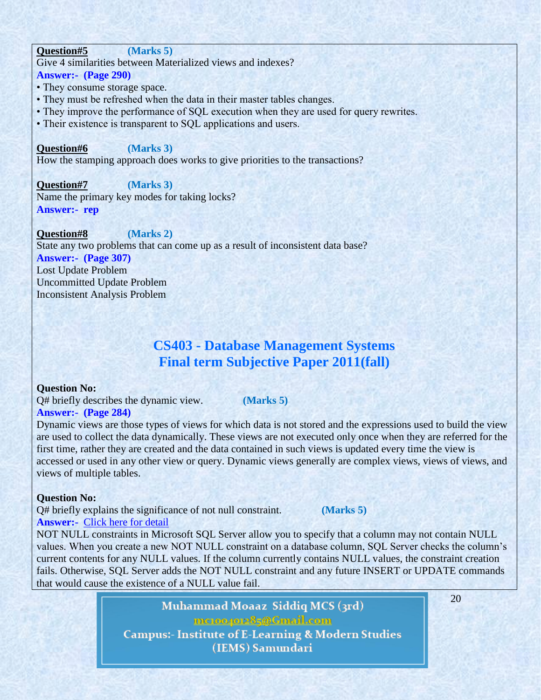### **Question#5 (Marks 5)**

Give 4 similarities between Materialized views and indexes?

**Answer:- (Page 290)**

- They consume storage space.
- They must be refreshed when the data in their master tables changes.
- They improve the performance of SQL execution when they are used for query rewrites.
- Their existence is transparent to SQL applications and users.

### **Question#6 (Marks 3)**

How the stamping approach does works to give priorities to the transactions?

**Question#7 (Marks 3)** Name the primary key modes for taking locks? **Answer:- rep**

**Question#8 (Marks 2)** State any two problems that can come up as a result of inconsistent data base? **Answer:- (Page 307)** Lost Update Problem Uncommitted Update Problem Inconsistent Analysis Problem

# **CS403 - Database Management Systems Final term Subjective Paper 2011(fall)**

### **Question No:**

Q# briefly describes the dynamic view. **(Marks 5) Answer:- (Page 284)**

Dynamic views are those types of views for which data is not stored and the expressions used to build the view are used to collect the data dynamically. These views are not executed only once when they are referred for the first time, rather they are created and the data contained in such views is updated every time the view is accessed or used in any other view or query. Dynamic views generally are complex views, views of views, and views of multiple tables.

### **Question No:**

Q# briefly explains the significance of not null constraint. **(Marks 5) Answer:-** Click here for [detail](http://databases.about.com/od/administration/g/not_null.htm)

NOT NULL constraints in Microsoft SQL Server allow you to specify that a column may not contain NULL values. When you create a new NOT NULL constraint on a database column, SQL Server checks the column's current contents for any NULL values. If the column currently contains NULL values, the constraint creation fails. Otherwise, SQL Server adds the NOT NULL constraint and any future INSERT or UPDATE commands that would cause the existence of a NULL value fail.

> Muhammad Moaaz Siddiq MCS (3rd) mctoo4ot285@Gmail.com **Campus:- Institute of E-Learning & Modern Studies** (IEMS) Samundari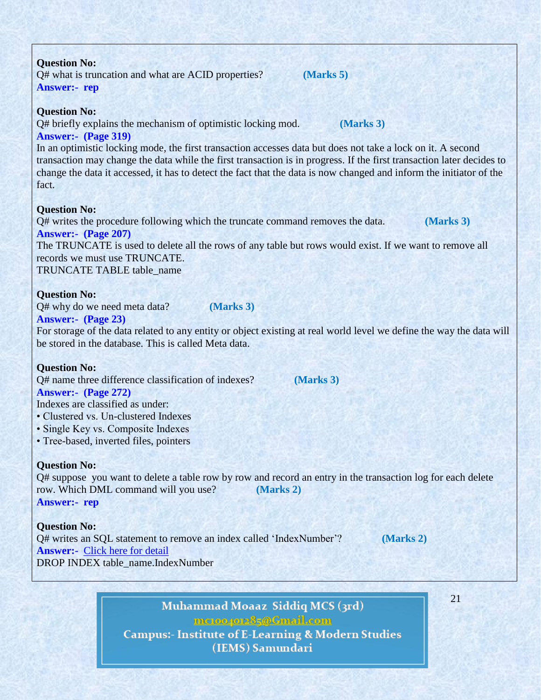| The TRUNCATE is used to delete all the rows of any table but rows would exist. If we want to remove all              |
|----------------------------------------------------------------------------------------------------------------------|
| records we must use TRUNCATE.                                                                                        |
| TRUNCATE TABLE table_name                                                                                            |
| <b>Question No:</b>                                                                                                  |
| Q# why do we need meta data?<br>(Marks 3)                                                                            |
| <b>Answer:- (Page 23)</b>                                                                                            |
| For storage of the data related to any entity or object existing at real world level we define the way the data will |
| be stored in the database. This is called Meta data.                                                                 |
|                                                                                                                      |
| <b>Question No:</b>                                                                                                  |
| Q# name three difference classification of indexes?<br>(Marks 3)                                                     |
| <b>Answer:- (Page 272)</b>                                                                                           |
| Indexes are classified as under:                                                                                     |
| • Clustered vs. Un-clustered Indexes                                                                                 |
| • Single Key vs. Composite Indexes                                                                                   |
| • Tree-based, inverted files, pointers                                                                               |
| <b>Question No:</b>                                                                                                  |
| Q# suppose you want to delete a table row by row and record an entry in the transaction log for each delete          |
| row. Which DML command will you use?<br>(Marks 2)                                                                    |
| <b>Answer:- rep</b>                                                                                                  |
|                                                                                                                      |
| <b>Question No:</b>                                                                                                  |
| Q# writes an SQL statement to remove an index called 'IndexNumber'?<br>(Marks 2)                                     |
| <b>Answer:-</b> Click here for detail                                                                                |
| DROP INDEX table_name.IndexNumber                                                                                    |
|                                                                                                                      |

**Answer:- (Page 319)** In an optimistic locking mode, the first transaction accesses data but does not take a lock on it. A second

Q# briefly explains the mechanism of optimistic locking mod. **(Marks 3)**

transaction may change the data while the first transaction is in progress. If the first transaction later decides to change the data it accessed, it has to detect the fact that the data is now changed and inform the initiator of the fact.

### **Question No:**

Q# writes the procedure following which the truncate command removes the data. **(Marks 3) Answer:- (Page 207)**

Muhammad Moaaz Siddiq MCS (3rd)

mcroopor25@Gmail.com **Campus:- Institute of E-Learning & Modern Studies** (IEMS) Samundari

21

Q# what is truncation and what are ACID properties? **(Marks 5)**

**Answer:- rep**

**Question No:**

**Question No:**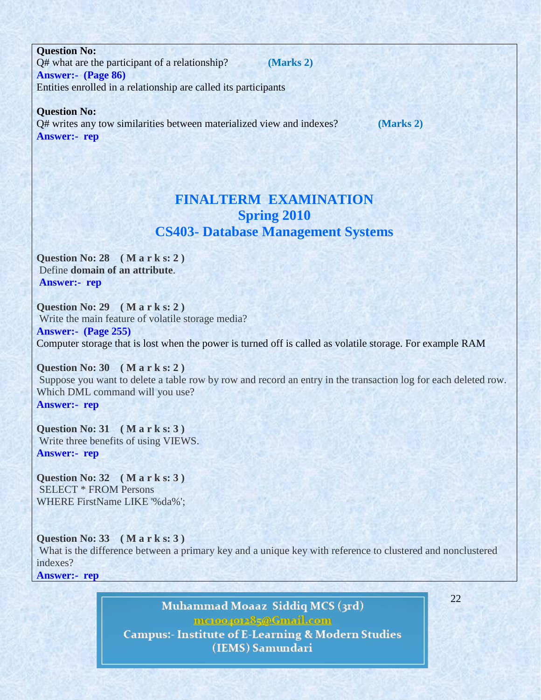**Question No:** Q# what are the participant of a relationship? **(Marks 2) Answer:- (Page 86)** Entities enrolled in a relationship are called its participants

**Question No:**

Q# writes any tow similarities between materialized view and indexes? **(Marks 2) Answer:- rep**

# **FINALTERM EXAMINATION Spring 2010 CS403- Database Management Systems**

**Question No: 28 ( M a r k s: 2 )** Define **domain of an attribute**. **Answer:- rep**

**Question No: 29 ( M a r k s: 2 )** Write the main feature of volatile storage media? **Answer:- (Page 255)** Computer storage that is lost when the power is turned off is called as volatile storage. For example RAM

**Question No: 30 ( M a r k s: 2 )** Suppose you want to delete a table row by row and record an entry in the transaction log for each deleted row. Which DML command will you use? **Answer:- rep**

**Question No: 31 ( M a r k s: 3 )** Write three benefits of using VIEWS. **Answer:- rep**

**Question No: 32 ( M a r k s: 3 )** SELECT \* FROM Persons WHERE FirstName LIKE '%da%';

**Question No: 33 ( M a r k s: 3 )** What is the difference between a primary key and a unique key with reference to clustered and nonclustered indexes?

**Answer:- rep**

Muhammad Moaaz Siddiq MCS (3rd) mctoo4ot285@Gmail.com **Campus:- Institute of E-Learning & Modern Studies** (IEMS) Samundari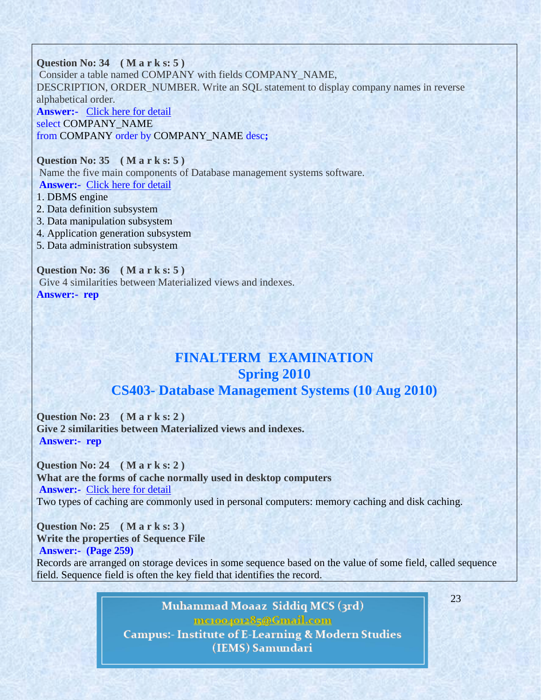**Question No: 34 ( M a r k s: 5 )** Consider a table named COMPANY with fields COMPANY\_NAME, DESCRIPTION, ORDER\_NUMBER. Write an SQL statement to display company names in reverse alphabetical order. **Answer:-** Click here for [detail](http://www.w3schools.com/sql/sql_orderby.asp) select COMPANY\_NAME from COMPANY order by COMPANY\_NAME desc**;**

**Question No: 35 ( M a r k s: 5 )** Name the five main components of Database management systems software. **Answer:-** Click here for [detail](http://highered.mcgraw-hill.com/sites/dl/free/0073376787/800625/Sample_Chapter3.pdf)

- 1. DBMS engine
- 2. Data definition subsystem
- 3. Data manipulation subsystem
- 4. Application generation subsystem
- 5. Data administration subsystem

**Question No: 36 ( M a r k s: 5 )** Give 4 similarities between Materialized views and indexes. **Answer:- rep**

# **FINALTERM EXAMINATION Spring 2010 CS403- Database Management Systems (10 Aug 2010)**

**Question No: 23 ( M a r k s: 2 ) Give 2 similarities between Materialized views and indexes. Answer:- rep**

**Question No: 24 ( M a r k s: 2 ) What are the forms of cache normally used in desktop computers Answer:-** Click here for [detail](http://www.webopedia.com/TERM/C/cache.html) Two types of caching are commonly used in personal computers: memory caching and disk caching.

**Question No: 25 ( M a r k s: 3 ) Write the properties of Sequence File Answer:- (Page 259)**

Records are arranged on storage devices in some sequence based on the value of some field, called sequence field. Sequence field is often the key field that identifies the record.

> Muhammad Moaaz Siddiq MCS (3rd) mctoo4ot285@Gmail.com **Campus:- Institute of E-Learning & Modern Studies** (IEMS) Samundari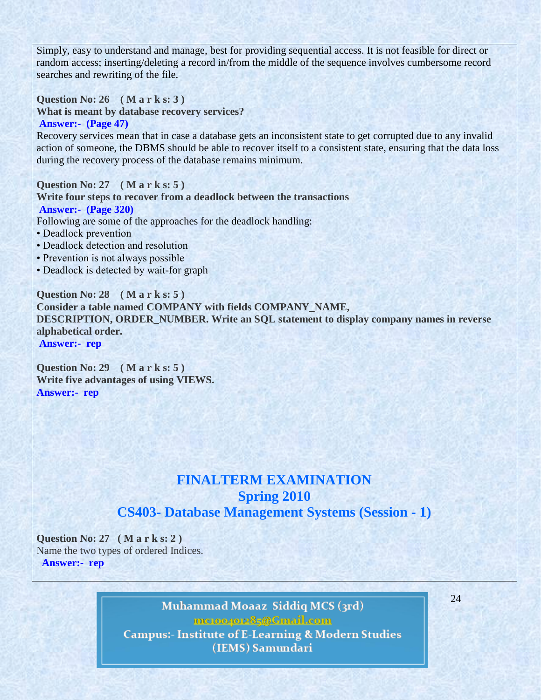Simply, easy to understand and manage, best for providing sequential access. It is not feasible for direct or random access; inserting/deleting a record in/from the middle of the sequence involves cumbersome record searches and rewriting of the file.

**Question No: 26 ( M a r k s: 3 ) What is meant by database recovery services? Answer:- (Page 47)**

Recovery services mean that in case a database gets an inconsistent state to get corrupted due to any invalid action of someone, the DBMS should be able to recover itself to a consistent state, ensuring that the data loss during the recovery process of the database remains minimum.

**Question No: 27 ( M a r k s: 5 ) Write four steps to recover from a deadlock between the transactions Answer:- (Page 320)** Following are some of the approaches for the deadlock handling: • Deadlock prevention • Deadlock detection and resolution

- Prevention is not always possible
- Deadlock is detected by wait-for graph

**Question No: 28 ( M a r k s: 5 ) Consider a table named COMPANY with fields COMPANY\_NAME, DESCRIPTION, ORDER\_NUMBER. Write an SQL statement to display company names in reverse alphabetical order. Answer:- rep**

**Question No: 29 ( M a r k s: 5 ) Write five advantages of using VIEWS. Answer:- rep**

# **FINALTERM EXAMINATION Spring 2010 CS403- Database Management Systems (Session - 1)**

**Question No: 27 ( M a r k s: 2 )** Name the two types of ordered Indices. **Answer:- rep**

> Muhammad Moaaz Siddiq MCS (3rd) mctoo4ot285@Gmail.com **Campus:- Institute of E-Learning & Modern Studies** (IEMS) Samundari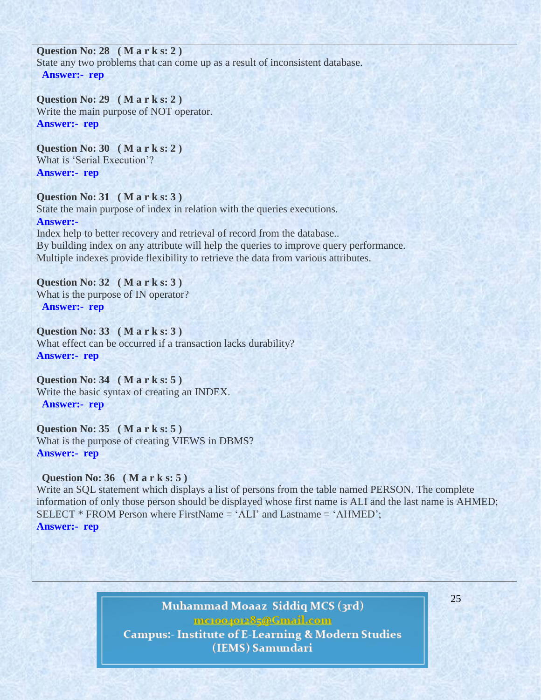### **Question No: 28 ( M a r k s: 2 )**

State any two problems that can come up as a result of inconsistent database. **Answer:- rep**

**Question No: 29 ( M a r k s: 2 )** Write the main purpose of NOT operator. **Answer:- rep**

**Question No: 30 ( M a r k s: 2 )** What is 'Serial Execution'? **Answer:- rep**

### **Question No: 31 ( M a r k s: 3 )**

State the main purpose of index in relation with the queries executions. **Answer:-** 

Index help to better recovery and retrieval of record from the database.. By building index on any attribute will help the queries to improve query performance. Multiple indexes provide flexibility to retrieve the data from various attributes.

**Question No: 32 ( M a r k s: 3 )** What is the purpose of IN operator? **Answer:- rep**

**Question No: 33 ( M a r k s: 3 )** What effect can be occurred if a transaction lacks durability? **Answer:- rep**

**Question No: 34 ( M a r k s: 5 )** Write the basic syntax of creating an INDEX. **Answer:- rep**

**Question No: 35 ( M a r k s: 5 )** What is the purpose of creating VIEWS in DBMS? **Answer:- rep**

**Question No: 36 ( M a r k s: 5 )**

Write an SQL statement which displays a list of persons from the table named PERSON. The complete information of only those person should be displayed whose first name is ALI and the last name is AHMED; SELECT \* FROM Person where FirstName = ‗ALI' and Lastname = ‗AHMED'; **Answer:- rep**

> Muhammad Moaaz Siddiq MCS (3rd) mctoo4ot285@Gmail.com **Campus:- Institute of E-Learning & Modern Studies** (IEMS) Samundari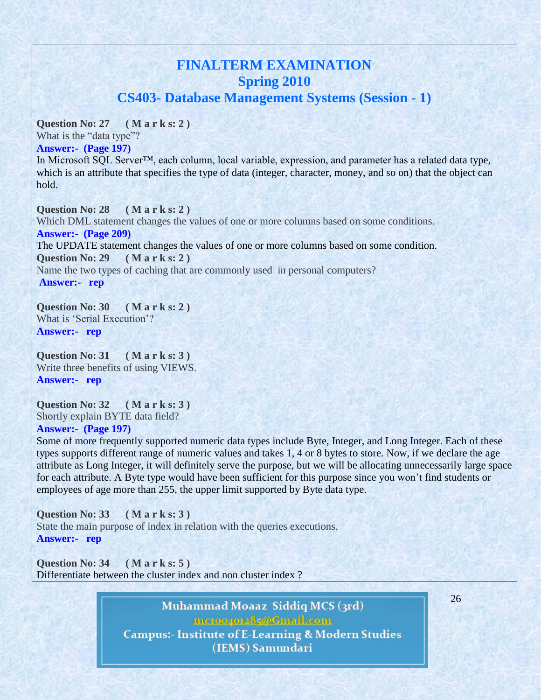# **FINALTERM EXAMINATION Spring 2010 CS403- Database Management Systems (Session - 1)**

**Question No: 27 ( M a r k s: 2 )**

What is the "data type"?

**Answer:- (Page 197)**

In Microsoft SQL Server™, each column, local variable, expression, and parameter has a related data type, which is an attribute that specifies the type of data (integer, character, money, and so on) that the object can hold.

**Question No: 28 ( M a r k s: 2 )** Which DML statement changes the values of one or more columns based on some conditions. **Answer:- (Page 209)** The UPDATE statement changes the values of one or more columns based on some condition. **Question No: 29 ( M a r k s: 2 )** Name the two types of caching that are commonly used in personal computers? **Answer:- rep**

**Question No: 30 ( M a r k s: 2 )** What is 'Serial Execution'? **Answer:- rep**

**Question No: 31 ( M a r k s: 3 )** Write three benefits of using VIEWS. **Answer:- rep**

**Question No: 32 ( M a r k s: 3 )** Shortly explain BYTE data field? **Answer:- (Page 197)**

Some of more frequently supported numeric data types include Byte, Integer, and Long Integer. Each of these types supports different range of numeric values and takes 1, 4 or 8 bytes to store. Now, if we declare the age attribute as Long Integer, it will definitely serve the purpose, but we will be allocating unnecessarily large space for each attribute. A Byte type would have been sufficient for this purpose since you won't find students or employees of age more than 255, the upper limit supported by Byte data type.

**Question No: 33 ( M a r k s: 3 )** State the main purpose of index in relation with the queries executions. **Answer:- rep**

**Question No: 34 ( M a r k s: 5 )** Differentiate between the cluster index and non cluster index ?

> Muhammad Moaaz Siddiq MCS (3rd) mctoo4ot285@Gmail.com **Campus:- Institute of E-Learning & Modern Studies** (IEMS) Samundari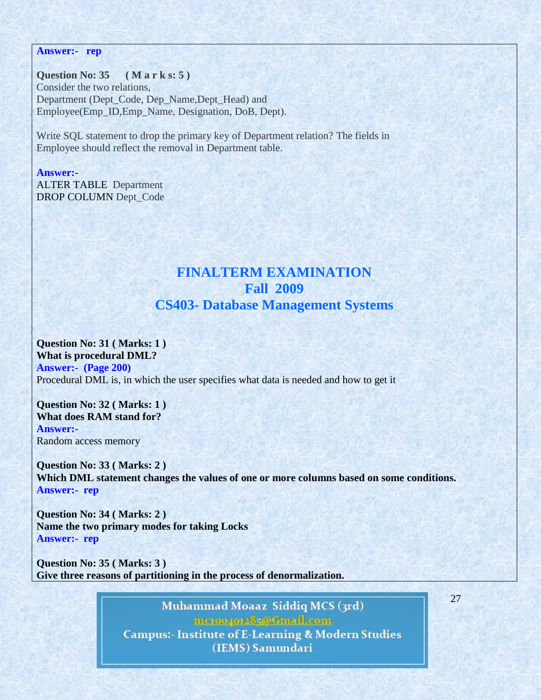#### **Answer:- rep**

#### **Question No: 35 ( M a r k s: 5 )**

Consider the two relations, Department (Dept\_Code, Dep\_Name,Dept\_Head) and Employee(Emp\_ID,Emp\_Name, Designation, DoB, Dept).

Write SQL statement to drop the primary key of Department relation? The fields in Employee should reflect the removal in Department table.

#### **Answer:-**

ALTER TABLE Department DROP COLUMN Dept\_Code

# **FINALTERM EXAMINATION Fall 2009 CS403- Database Management Systems**

# **Question No: 31 ( Marks: 1 )**

**What is procedural DML? Answer:- (Page 200)** Procedural DML is, in which the user specifies what data is needed and how to get it

**Question No: 32 ( Marks: 1 ) What does RAM stand for? Answer:-**  Random access memory

**Question No: 33 ( Marks: 2 ) Which DML statement changes the values of one or more columns based on some conditions. Answer:- rep**

**Question No: 34 ( Marks: 2 ) Name the two primary modes for taking Locks Answer:- rep**

**Question No: 35 ( Marks: 3 ) Give three reasons of partitioning in the process of denormalization.**

> Muhammad Moaaz Siddiq MCS (3rd) mctoo4ot285@Gmail.com **Campus:- Institute of E-Learning & Modern Studies** (IEMS) Samundari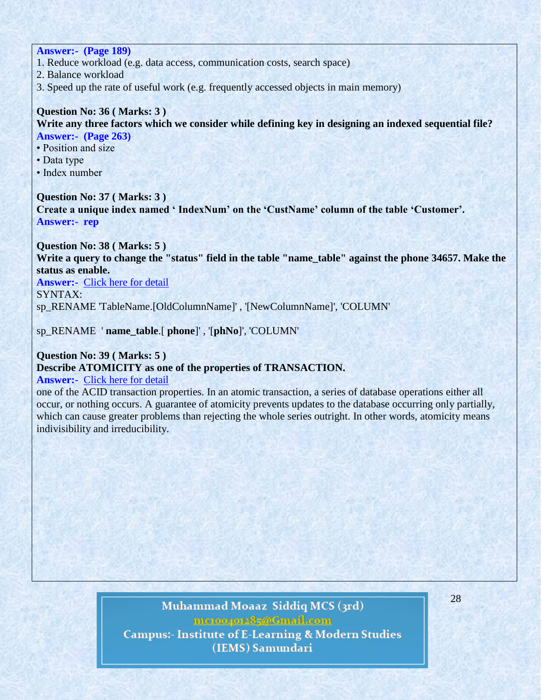# **Answer:- (Page 189)**

- 1. Reduce workload (e.g. data access, communication costs, search space)
- 2. Balance workload
- 3. Speed up the rate of useful work (e.g. frequently accessed objects in main memory)

# **Question No: 36 ( Marks: 3 )**

**Write any three factors which we consider while defining key in designing an indexed sequential file? Answer:- (Page 263)**

- Position and size
- Data type
- Index number

### **Question No: 37 ( Marks: 3 )**

Create a unique index named 'IndexNum' on the 'CustName' column of the table 'Customer'. **Answer:- rep**

**Question No: 38 ( Marks: 5 )**

**Write a query to change the "status" field in the table "name\_table" against the phone 34657. Make the status as enable.**

**Answer:-** Click here for [detail](http://www.dotnetfunda.com/forums/thread9460-how-to-change-column-name-in-table.aspx)

SYNTAX: sp\_RENAME 'TableName.[OldColumnName]' , '[NewColumnName]', 'COLUMN'

sp\_RENAME ' **name\_table**.[ **phone**]' , '[**phNo**]', 'COLUMN'

# **Question No: 39 ( Marks: 5 )**

### **Describe ATOMICITY as one of the properties of TRANSACTION.**

### **Answer:-** Click here for [detail](http://en.wikipedia.org/wiki/Atomicity_(database_systems))

one of the ACID transaction properties. In an atomic transaction, a series of database operations either all occur, or nothing occurs. A guarantee of atomicity prevents updates to the database occurring only partially, which can cause greater problems than rejecting the whole series outright. In other words, atomicity means indivisibility and irreducibility.

# Muhammad Moaaz Siddiq MCS (3rd) mctoo4ot285@Gmail.com **Campus:- Institute of E-Learning & Modern Studies** (IEMS) Samundari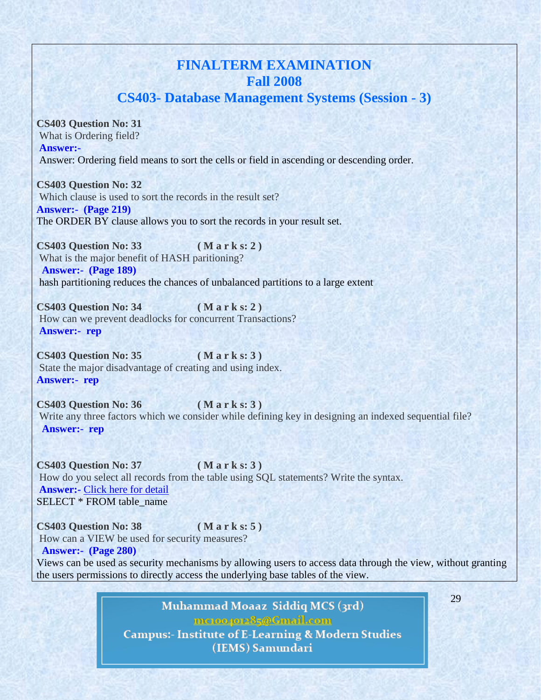# **FINALTERM EXAMINATION Fall 2008 CS403- Database Management Systems (Session - 3)**

**CS403 Question No: 31** 

What is Ordering field?

**Answer:-**  Answer: Ordering field means to sort the cells or field in ascending or descending order.

**CS403 Question No: 32**  Which clause is used to sort the records in the result set? **Answer:- (Page 219)** The ORDER BY clause allows you to sort the records in your result set.

**CS403 Question No: 33 ( M a r k s: 2 )** What is the major benefit of HASH paritioning? **Answer:- (Page 189)** hash partitioning reduces the chances of unbalanced partitions to a large extent

**CS403 Question No: 34 ( M a r k s: 2 )** How can we prevent deadlocks for concurrent Transactions? **Answer:- rep**

**CS403 Question No: 35 ( M a r k s: 3 )** State the major disadvantage of creating and using index. **Answer:- rep**

**CS403 Question No: 36 ( M a r k s: 3 )** Write any three factors which we consider while defining key in designing an indexed sequential file? **Answer:- rep**

**CS403 Question No: 37 ( M a r k s: 3 )** How do you select all records from the table using SQL statements? Write the syntax. **Answer:-** Click here for [detail](http://www.w3schools.com/sql/sql_select.asp) SELECT \* FROM table\_name

**CS403 Question No: 38 ( M a r k s: 5 )** How can a VIEW be used for security measures? **Answer:- (Page 280)**

Views can be used as security mechanisms by allowing users to access data through the view, without granting the users permissions to directly access the underlying base tables of the view.

> Muhammad Moaaz Siddiq MCS (3rd) mctoo4ot285@Gmail.com **Campus:- Institute of E-Learning & Modern Studies** (IEMS) Samundari